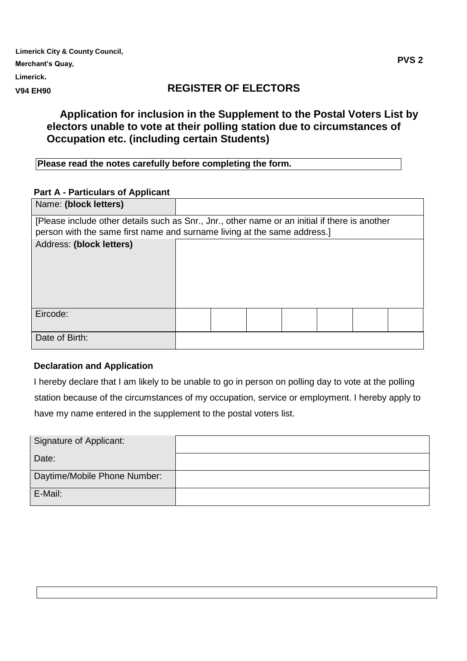| <b>Limerick City &amp; County Council,</b> |                       |              |
|--------------------------------------------|-----------------------|--------------|
| Merchant's Quay,                           |                       | <b>PVS 2</b> |
| Limerick.                                  |                       |              |
| .                                          | DECISTED AE EI ECTADS |              |

#### **V94 EH90**

# **REGISTER OF ELECTORS**

# **Application for inclusion in the Supplement to the Postal Voters List by electors unable to vote at their polling station due to circumstances of Occupation etc. (including certain Students)**

| Please read the notes carefully before completing the form. |
|-------------------------------------------------------------|
|                                                             |

### **Part A - Particulars of Applicant**

| Name: (block letters)                                                                          |  |  |  |  |  |  |  |  |  |
|------------------------------------------------------------------------------------------------|--|--|--|--|--|--|--|--|--|
| [Please include other details such as Snr., Jnr., other name or an initial if there is another |  |  |  |  |  |  |  |  |  |
| person with the same first name and surname living at the same address.]                       |  |  |  |  |  |  |  |  |  |
| Address: (block letters)                                                                       |  |  |  |  |  |  |  |  |  |
|                                                                                                |  |  |  |  |  |  |  |  |  |
|                                                                                                |  |  |  |  |  |  |  |  |  |
|                                                                                                |  |  |  |  |  |  |  |  |  |
|                                                                                                |  |  |  |  |  |  |  |  |  |
|                                                                                                |  |  |  |  |  |  |  |  |  |
| Eircode:                                                                                       |  |  |  |  |  |  |  |  |  |
|                                                                                                |  |  |  |  |  |  |  |  |  |
| Date of Birth:                                                                                 |  |  |  |  |  |  |  |  |  |

### **Declaration and Application**

I hereby declare that I am likely to be unable to go in person on polling day to vote at the polling station because of the circumstances of my occupation, service or employment. I hereby apply to have my name entered in the supplement to the postal voters list.

| Signature of Applicant:      |  |
|------------------------------|--|
| Date:                        |  |
| Daytime/Mobile Phone Number: |  |
| E-Mail:                      |  |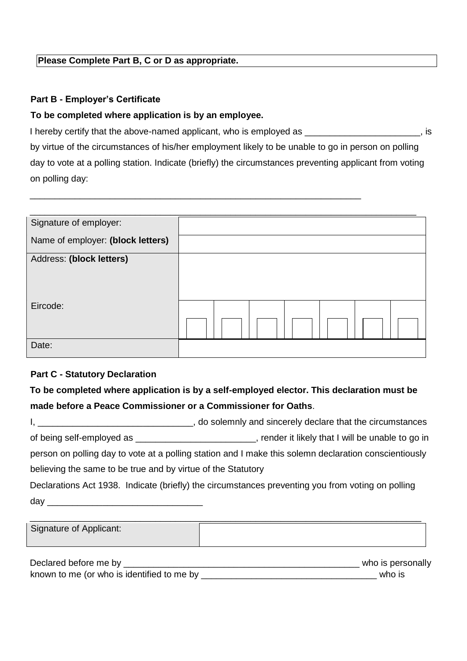### **Please Complete Part B, C or D as appropriate.**

### **Part B - Employer's Certificate**

#### **To be completed where application is by an employee.**

I hereby certify that the above-named applicant, who is employed as \_\_\_\_\_\_\_\_\_\_\_\_\_\_\_\_\_\_\_\_\_, is by virtue of the circumstances of his/her employment likely to be unable to go in person on polling day to vote at a polling station. Indicate (briefly) the circumstances preventing applicant from voting on polling day:

\_\_\_\_\_\_\_\_\_\_\_\_\_\_\_\_\_\_\_\_\_\_\_\_\_\_\_\_\_\_\_\_\_\_\_\_\_\_\_\_\_\_\_\_\_\_\_\_\_\_\_\_\_\_\_\_\_\_\_\_\_\_\_\_\_\_

| Signature of employer:            |  |
|-----------------------------------|--|
| Name of employer: (block letters) |  |
| Address: (block letters)          |  |
|                                   |  |
| Eircode:                          |  |
|                                   |  |
| Date:                             |  |

### **Part C - Statutory Declaration**

**To be completed where application is by a self-employed elector. This declaration must be made before a Peace Commissioner or a Commissioner for Oaths**.

|                                                              | do solemnly and sincerely declare that the circumstances                                              |
|--------------------------------------------------------------|-------------------------------------------------------------------------------------------------------|
|                                                              |                                                                                                       |
|                                                              | person on polling day to vote at a polling station and I make this solemn declaration conscientiously |
| believing the same to be true and by virtue of the Statutory |                                                                                                       |
|                                                              | Declarations Act 1938. Indicate (briefly) the circumstances preventing you from voting on polling     |
| $day_{-}$                                                    |                                                                                                       |

| Signature of Applicant: |     |
|-------------------------|-----|
| $\sim$<br>. .           | . . |

| Declared before me by                      | who is personally |
|--------------------------------------------|-------------------|
| known to me (or who is identified to me by | who is            |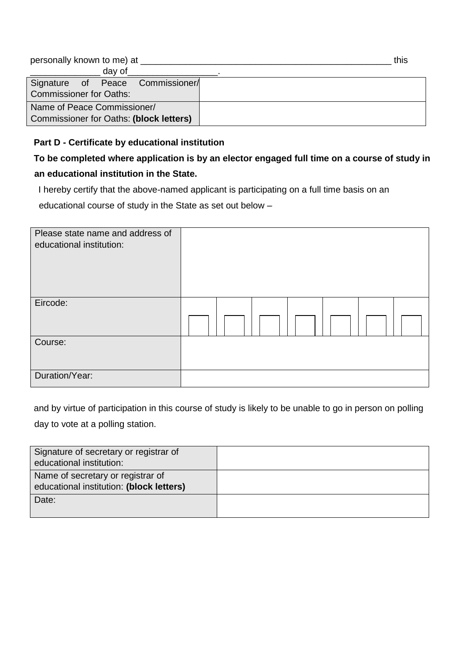| personally known to me) at              | this |
|-----------------------------------------|------|
| day of                                  |      |
| Signature of Peace Commissioner/        |      |
| <b>Commissioner for Oaths:</b>          |      |
| Name of Peace Commissioner/             |      |
| Commissioner for Oaths: (block letters) |      |

### **Part D - Certificate by educational institution**

# **To be completed where application is by an elector engaged full time on a course of study in an educational institution in the State.**

I hereby certify that the above-named applicant is participating on a full time basis on an

educational course of study in the State as set out below –

| Please state name and address of<br>educational institution: |  |  |  |  |  |  |  |  |
|--------------------------------------------------------------|--|--|--|--|--|--|--|--|
| Eircode:                                                     |  |  |  |  |  |  |  |  |
|                                                              |  |  |  |  |  |  |  |  |
| Course:                                                      |  |  |  |  |  |  |  |  |
|                                                              |  |  |  |  |  |  |  |  |
| Duration/Year:                                               |  |  |  |  |  |  |  |  |

and by virtue of participation in this course of study is likely to be unable to go in person on polling day to vote at a polling station.

| Signature of secretary or registrar of<br>educational institution:            |  |
|-------------------------------------------------------------------------------|--|
| Name of secretary or registrar of<br>educational institution: (block letters) |  |
| Date:                                                                         |  |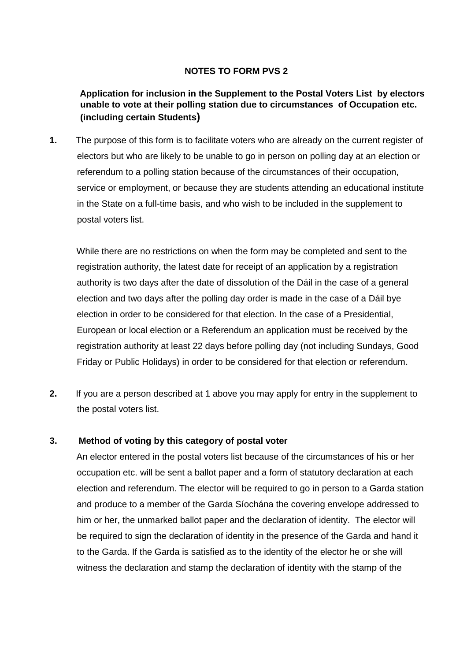### **NOTES TO FORM PVS 2**

### **Application for inclusion in the Supplement to the Postal Voters List by electors unable to vote at their polling station due to circumstances of Occupation etc. (including certain Students)**

**1.** The purpose of this form is to facilitate voters who are already on the current register of electors but who are likely to be unable to go in person on polling day at an election or referendum to a polling station because of the circumstances of their occupation, service or employment, or because they are students attending an educational institute in the State on a full-time basis, and who wish to be included in the supplement to postal voters list.

While there are no restrictions on when the form may be completed and sent to the registration authority, the latest date for receipt of an application by a registration authority is two days after the date of dissolution of the Dáil in the case of a general election and two days after the polling day order is made in the case of a Dáil bye election in order to be considered for that election. In the case of a Presidential, European or local election or a Referendum an application must be received by the registration authority at least 22 days before polling day (not including Sundays, Good Friday or Public Holidays) in order to be considered for that election or referendum.

**2.** If you are a person described at 1 above you may apply for entry in the supplement to the postal voters list.

### **3. Method of voting by this category of postal voter**

An elector entered in the postal voters list because of the circumstances of his or her occupation etc. will be sent a ballot paper and a form of statutory declaration at each election and referendum. The elector will be required to go in person to a Garda station and produce to a member of the Garda Síochána the covering envelope addressed to him or her, the unmarked ballot paper and the declaration of identity. The elector will be required to sign the declaration of identity in the presence of the Garda and hand it to the Garda. If the Garda is satisfied as to the identity of the elector he or she will witness the declaration and stamp the declaration of identity with the stamp of the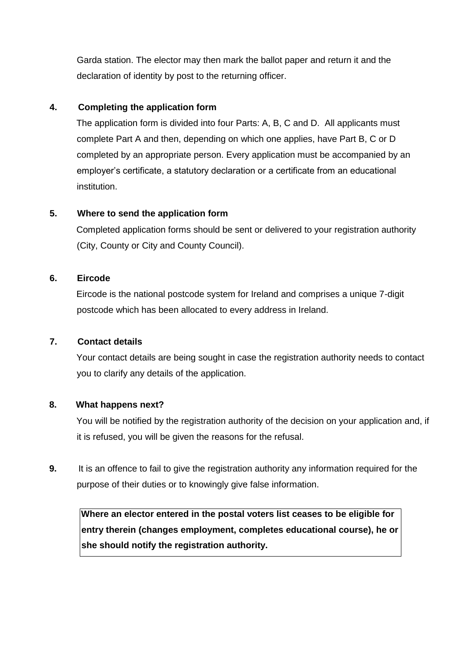Garda station. The elector may then mark the ballot paper and return it and the declaration of identity by post to the returning officer.

### **4. Completing the application form**

The application form is divided into four Parts: A, B, C and D. All applicants must complete Part A and then, depending on which one applies, have Part B, C or D completed by an appropriate person. Every application must be accompanied by an employer's certificate, a statutory declaration or a certificate from an educational institution.

### **5. Where to send the application form**

Completed application forms should be sent or delivered to your registration authority (City, County or City and County Council).

### **6. Eircode**

Eircode is the national postcode system for Ireland and comprises a unique 7-digit postcode which has been allocated to every address in Ireland.

### **7. Contact details**

Your contact details are being sought in case the registration authority needs to contact you to clarify any details of the application.

### **8. What happens next?**

You will be notified by the registration authority of the decision on your application and, if it is refused, you will be given the reasons for the refusal.

**9.** It is an offence to fail to give the registration authority any information required for the purpose of their duties or to knowingly give false information.

**Where an elector entered in the postal voters list ceases to be eligible for entry therein (changes employment, completes educational course), he or she should notify the registration authority.**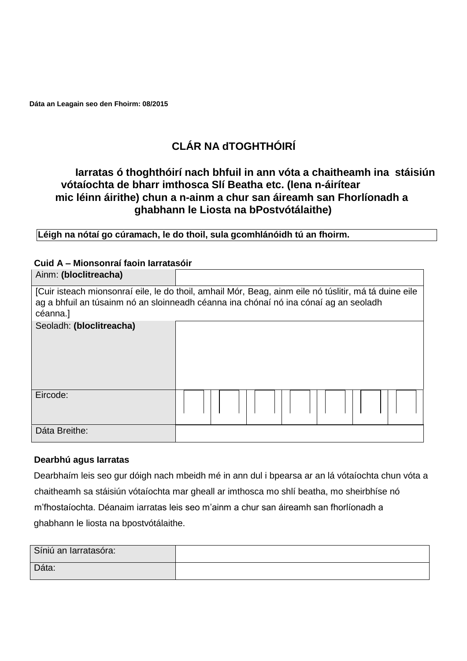**Dáta an Leagain seo den Fhoirm: 08/2015**

# **CLÁR NA dTOGHTHÓIRÍ**

# **Iarratas ó thoghthóirí nach bhfuil in ann vóta a chaitheamh ina stáisiún vótaíochta de bharr imthosca Slí Beatha etc. (lena n-áirítear mic léinn áirithe) chun a n-ainm a chur san áireamh san Fhorlíonadh a ghabhann le Liosta na bPostvótálaithe)**

**Léigh na nótaí go cúramach, le do thoil, sula gcomhlánóidh tú an fhoirm.**

### **Cuid A – Mionsonraí faoin Iarratasóir**

| Ainm: (bloclitreacha)                                                                                 |  |  |  |  |  |  |  |  |  |  |  |  |  |
|-------------------------------------------------------------------------------------------------------|--|--|--|--|--|--|--|--|--|--|--|--|--|
| [Cuir isteach mionsonraí eile, le do thoil, amhail Mór, Beag, ainm eile nó túslitir, má tá duine eile |  |  |  |  |  |  |  |  |  |  |  |  |  |
| ag a bhfuil an túsainm nó an sloinneadh céanna ina chónaí nó ina cónaí ag an seoladh                  |  |  |  |  |  |  |  |  |  |  |  |  |  |
| céanna.]                                                                                              |  |  |  |  |  |  |  |  |  |  |  |  |  |
| Seoladh: (bloclitreacha)                                                                              |  |  |  |  |  |  |  |  |  |  |  |  |  |
|                                                                                                       |  |  |  |  |  |  |  |  |  |  |  |  |  |
|                                                                                                       |  |  |  |  |  |  |  |  |  |  |  |  |  |
|                                                                                                       |  |  |  |  |  |  |  |  |  |  |  |  |  |
|                                                                                                       |  |  |  |  |  |  |  |  |  |  |  |  |  |
|                                                                                                       |  |  |  |  |  |  |  |  |  |  |  |  |  |
| Eircode:                                                                                              |  |  |  |  |  |  |  |  |  |  |  |  |  |
|                                                                                                       |  |  |  |  |  |  |  |  |  |  |  |  |  |
|                                                                                                       |  |  |  |  |  |  |  |  |  |  |  |  |  |
| Dáta Breithe:                                                                                         |  |  |  |  |  |  |  |  |  |  |  |  |  |

### **Dearbhú agus Iarratas**

Dearbhaím leis seo gur dóigh nach mbeidh mé in ann dul i bpearsa ar an lá vótaíochta chun vóta a chaitheamh sa stáisiún vótaíochta mar gheall ar imthosca mo shlí beatha, mo sheirbhíse nó m'fhostaíochta. Déanaim iarratas leis seo m'ainm a chur san áireamh san fhorlíonadh a ghabhann le liosta na bpostvótálaithe.

| Síniú an Iarratasóra: |  |
|-----------------------|--|
| Dáta:                 |  |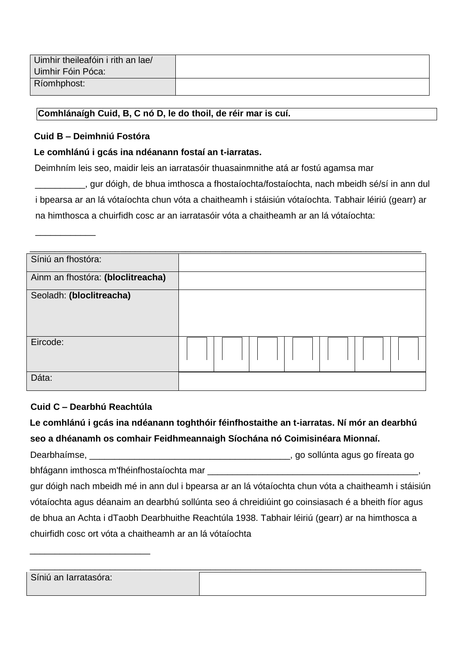| Uimhir theileafóin i rith an lae/<br>Uimhir Fóin Póca: |  |
|--------------------------------------------------------|--|
| Ríomhphost:                                            |  |

### **Comhlánaígh Cuid, B, C nó D, le do thoil, de réir mar is cuí.**

#### **Cuid B – Deimhniú Fostóra**

\_\_\_\_\_\_\_\_\_\_\_\_

### **Le comhlánú i gcás ina ndéanann fostaí an t-iarratas.**

Deimhním leis seo, maidir leis an iarratasóir thuasainmnithe atá ar fostú agamsa mar

\_\_\_\_\_\_\_\_\_\_, gur dóigh, de bhua imthosca a fhostaíochta/fostaíochta, nach mbeidh sé/sí in ann dul i bpearsa ar an lá vótaíochta chun vóta a chaitheamh i stáisiún vótaíochta. Tabhair léiriú (gearr) ar na himthosca a chuirfidh cosc ar an iarratasóir vóta a chaitheamh ar an lá vótaíochta:

| Síniú an fhostóra:                |  |  |  |  |  |  |  |
|-----------------------------------|--|--|--|--|--|--|--|
| Ainm an fhostóra: (bloclitreacha) |  |  |  |  |  |  |  |
| Seoladh: (bloclitreacha)          |  |  |  |  |  |  |  |
| Eircode:                          |  |  |  |  |  |  |  |
| Dáta:                             |  |  |  |  |  |  |  |

### **Cuid C – Dearbhú Reachtúla**

\_\_\_\_\_\_\_\_\_\_\_\_\_\_\_\_\_\_\_\_\_\_\_\_

**Le comhlánú i gcás ina ndéanann toghthóir féinfhostaithe an t-iarratas. Ní mór an dearbhú seo a dhéanamh os comhair Feidhmeannaigh Síochána nó Coimisinéara Mionnaí.**  Dearbhaímse, \_\_\_\_\_\_\_\_\_\_\_\_\_\_\_\_\_\_\_\_\_\_\_\_\_\_\_\_\_\_\_\_\_\_\_\_\_\_\_\_, go sollúnta agus go fíreata go bhfágann imthosca m'fhéinfhostaíochta mar \_\_\_\_\_\_\_\_\_\_\_\_\_\_\_\_\_\_\_\_\_\_\_\_\_\_\_\_\_\_\_\_\_\_\_\_\_\_\_\_\_\_, gur dóigh nach mbeidh mé in ann dul i bpearsa ar an lá vótaíochta chun vóta a chaitheamh i stáisiún vótaíochta agus déanaim an dearbhú sollúnta seo á chreidiúint go coinsiasach é a bheith fíor agus de bhua an Achta i dTaobh Dearbhuithe Reachtúla 1938. Tabhair léiriú (gearr) ar na himthosca a chuirfidh cosc ort vóta a chaitheamh ar an lá vótaíochta

| Síniú an Iarratasóra: |  |
|-----------------------|--|
|                       |  |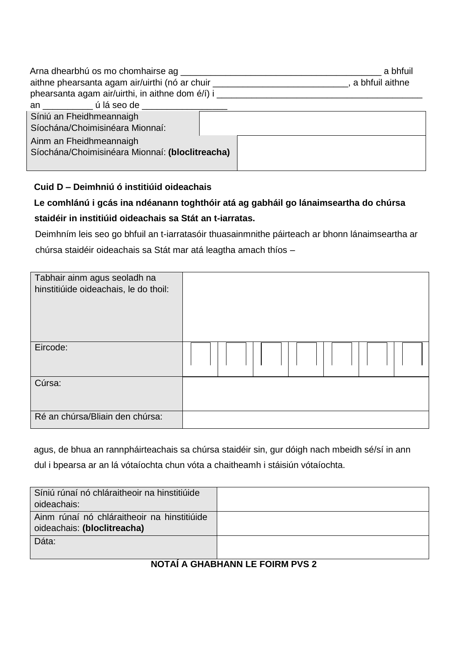| aithne phearsanta agam air/uirthi (nó ar chuir _________________________________<br>phearsanta agam air/uirthi, in aithne dom é/i) i | a bhfuil<br>, a bhfuil aithne |
|--------------------------------------------------------------------------------------------------------------------------------------|-------------------------------|
| an úláseode                                                                                                                          |                               |
| Síniú an Fheidhmeannaigh<br>Síochána/Choimisinéara Mionnaí:                                                                          |                               |
| Ainm an Fheidhmeannaigh<br>Síochána/Choimisinéara Mionnaí: (bloclitreacha)                                                           |                               |

## **Cuid D – Deimhniú ó institiúid oideachais**

# **Le comhlánú i gcás ina ndéanann toghthóir atá ag gabháil go lánaimseartha do chúrsa staidéir in institiúid oideachais sa Stát an t-iarratas.**

Deimhním leis seo go bhfuil an t-iarratasóir thuasainmnithe páirteach ar bhonn lánaimseartha ar chúrsa staidéir oideachais sa Stát mar atá leagtha amach thíos –

| Tabhair ainm agus seoladh na<br>hinstitiúide oideachais, le do thoil: |  |  |  |  |  |  |  |
|-----------------------------------------------------------------------|--|--|--|--|--|--|--|
| Eircode:                                                              |  |  |  |  |  |  |  |
| Cúrsa:                                                                |  |  |  |  |  |  |  |
| Ré an chúrsa/Bliain den chúrsa:                                       |  |  |  |  |  |  |  |

agus, de bhua an rannpháirteachais sa chúrsa staidéir sin, gur dóigh nach mbeidh sé/sí in ann dul i bpearsa ar an lá vótaíochta chun vóta a chaitheamh i stáisiún vótaíochta.

| Síniú rúnaí nó chláraitheoir na hinstitiúide<br>oideachais:                |  |
|----------------------------------------------------------------------------|--|
| Ainm rúnaí nó chláraitheoir na hinstitiúide<br>oideachais: (bloclitreacha) |  |
| Dáta:                                                                      |  |

### **NOTAÍ A GHABHANN LE FOIRM PVS 2**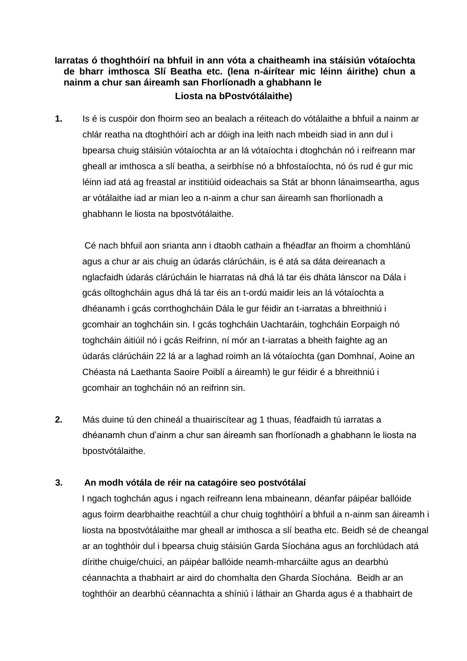### **Iarratas ó thoghthóirí na bhfuil in ann vóta a chaitheamh ina stáisiún vótaíochta de bharr imthosca Slí Beatha etc. (lena n-áirítear mic léinn áirithe) chun a nainm a chur san áireamh san Fhorlíonadh a ghabhann le Liosta na bPostvótálaithe)**

**1.** Is é is cuspóir don fhoirm seo an bealach a réiteach do vótálaithe a bhfuil a nainm ar chlár reatha na dtoghthóirí ach ar dóigh ina leith nach mbeidh siad in ann dul i bpearsa chuig stáisiún vótaíochta ar an lá vótaíochta i dtoghchán nó i reifreann mar gheall ar imthosca a slí beatha, a seirbhíse nó a bhfostaíochta, nó ós rud é gur mic léinn iad atá ag freastal ar institiúid oideachais sa Stát ar bhonn lánaimseartha, agus ar vótálaithe iad ar mian leo a n-ainm a chur san áireamh san fhorlíonadh a ghabhann le liosta na bpostvótálaithe.

Cé nach bhfuil aon srianta ann i dtaobh cathain a fhéadfar an fhoirm a chomhlánú agus a chur ar ais chuig an údarás clárúcháin, is é atá sa dáta deireanach a nglacfaidh údarás clárúcháin le hiarratas ná dhá lá tar éis dháta lánscor na Dála i gcás olltoghcháin agus dhá lá tar éis an t-ordú maidir leis an lá vótaíochta a dhéanamh i gcás corrthoghcháin Dála le gur féidir an t-iarratas a bhreithniú i gcomhair an toghcháin sin. I gcás toghcháin Uachtaráin, toghcháin Eorpaigh nó toghcháin áitiúil nó i gcás Reifrinn, ní mór an t-iarratas a bheith faighte ag an údarás clárúcháin 22 lá ar a laghad roimh an lá vótaíochta (gan Domhnaí, Aoine an Chéasta ná Laethanta Saoire Poiblí a áireamh) le gur féidir é a bhreithniú i gcomhair an toghcháin nó an reifrinn sin.

**2.** Más duine tú den chineál a thuairiscítear ag 1 thuas, féadfaidh tú iarratas a dhéanamh chun d'ainm a chur san áireamh san fhorlíonadh a ghabhann le liosta na bpostvótálaithe.

### **3. An modh vótála de réir na catagóire seo postvótálaí**

I ngach toghchán agus i ngach reifreann lena mbaineann, déanfar páipéar ballóide agus foirm dearbhaithe reachtúil a chur chuig toghthóirí a bhfuil a n-ainm san áireamh i liosta na bpostvótálaithe mar gheall ar imthosca a slí beatha etc. Beidh sé de cheangal ar an toghthóir dul i bpearsa chuig stáisiún Garda Síochána agus an forchlúdach atá dírithe chuige/chuici, an páipéar ballóide neamh-mharcáilte agus an dearbhú céannachta a thabhairt ar aird do chomhalta den Gharda Síochána. Beidh ar an toghthóir an dearbhú céannachta a shíniú i láthair an Gharda agus é a thabhairt de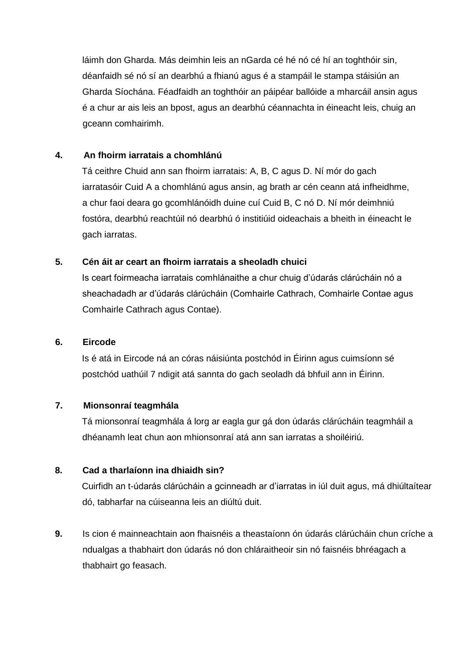láimh don Gharda. Más deimhin leis an nGarda cé hé nó cé hí an toghthóir sin, déanfaidh sé nó sí an dearbhú a fhianú agus é a stampáil le stampa stáisiún an Gharda Síochána. Féadfaidh an toghthóir an páipéar ballóide a mharcáil ansin agus é a chur ar ais leis an bpost, agus an dearbhú céannachta in éineacht leis, chuig an gceann comhairimh.

### **4. An fhoirm iarratais a chomhlánú**

Tá ceithre Chuid ann san fhoirm iarratais: A, B, C agus D. Ní mór do gach iarratasóir Cuid A a chomhlánú agus ansin, ag brath ar cén ceann atá infheidhme, a chur faoi deara go gcomhlánóidh duine cuí Cuid B, C nó D. Ní mór deimhniú fostóra, dearbhú reachtúil nó dearbhú ó institiúid oideachais a bheith in éineacht le gach iarratas.

### **5. Cén áit ar ceart an fhoirm iarratais a sheoladh chuici**

Is ceart foirmeacha iarratais comhlánaithe a chur chuig d'údarás clárúcháin nó a sheachadadh ar d'údarás clárúcháin (Comhairle Cathrach, Comhairle Contae agus Comhairle Cathrach agus Contae).

### **6. Eircode**

Is é atá in Eircode ná an córas náisiúnta postchód in Éirinn agus cuimsíonn sé postchód uathúil 7 ndigit atá sannta do gach seoladh dá bhfuil ann in Éirinn.

### **7. Mionsonraí teagmhála**

Tá mionsonraí teagmhála á lorg ar eagla gur gá don údarás clárúcháin teagmháil a dhéanamh leat chun aon mhionsonraí atá ann san iarratas a shoiléiriú.

### **8. Cad a tharlaíonn ina dhiaidh sin?**

Cuirfidh an t-údarás clárúcháin a gcinneadh ar d'iarratas in iúl duit agus, má dhiúltaítear dó, tabharfar na cúiseanna leis an diúltú duit.

**9.** Is cion é mainneachtain aon fhaisnéis a theastaíonn ón údarás clárúcháin chun críche a ndualgas a thabhairt don údarás nó don chláraitheoir sin nó faisnéis bhréagach a thabhairt go feasach.